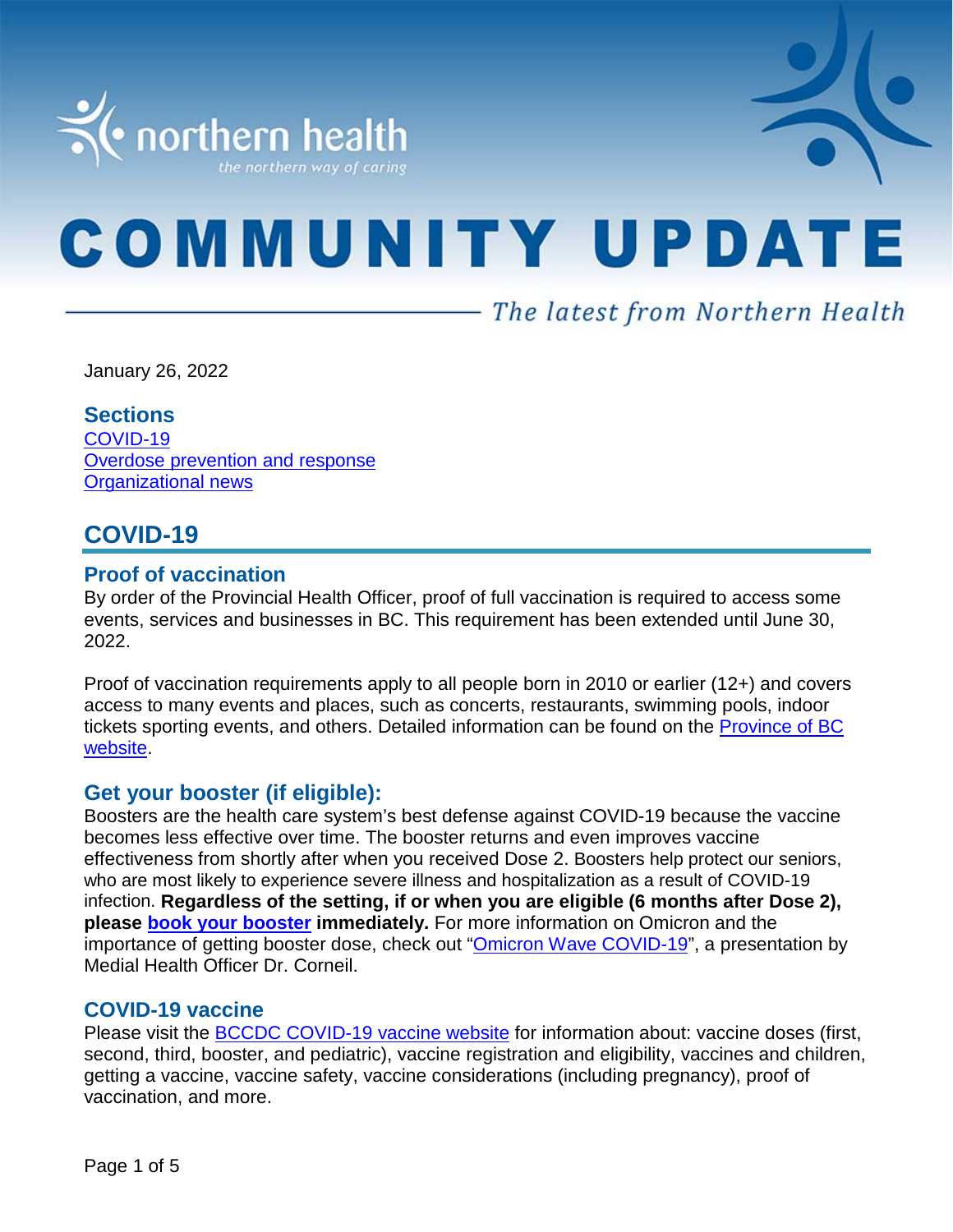

# **COMMUNITY UPDATE**

— The latest from Northern Health

January 26, 2022

#### **Sections**

[COVID-19](#page-0-0) [Overdose prevention and response](#page-3-0) Organizational news

# <span id="page-0-0"></span>**COVID-19**

#### **Proof of vaccination**

By order of the Provincial Health Officer, proof of full vaccination is required to access some events, services and businesses in BC. This requirement has been extended until June 30, 2022.

Proof of vaccination requirements apply to all people born in 2010 or earlier (12+) and covers access to many events and places, such as concerts, restaurants, swimming pools, indoor tickets sporting events, and others. Detailed information can be found on the [Province of BC](https://www2.gov.bc.ca/gov/content/covid-19/vaccine/proof)  [website.](https://www2.gov.bc.ca/gov/content/covid-19/vaccine/proof)

#### **Get your booster (if eligible):**

Boosters are the health care system's best defense against COVID-19 because the vaccine becomes less effective over time. The booster returns and even improves vaccine effectiveness from shortly after when you received Dose 2. Boosters help protect our seniors, who are most likely to experience severe illness and hospitalization as a result of COVID-19 infection. **Regardless of the setting, if or when you are eligible (6 months after Dose 2), please [book your booster](https://www.getvaccinated.gov.bc.ca/s/) immediately.** For more information on Omicron and the importance of getting booster dose, check out ["Omicron Wave COVID-19"](https://youtu.be/Dm_lvD2_wEg), a presentation by Medial Health Officer Dr. Corneil.

#### **COVID-19 vaccine**

Please visit the [BCCDC COVID-19 vaccine website](http://www.bccdc.ca/health-info/diseases-conditions/covid-19/covid-19-vaccine) for information about: vaccine doses (first, second, third, booster, and pediatric), vaccine registration and eligibility, vaccines and children, getting a vaccine, vaccine safety, vaccine considerations (including pregnancy), proof of vaccination, and more.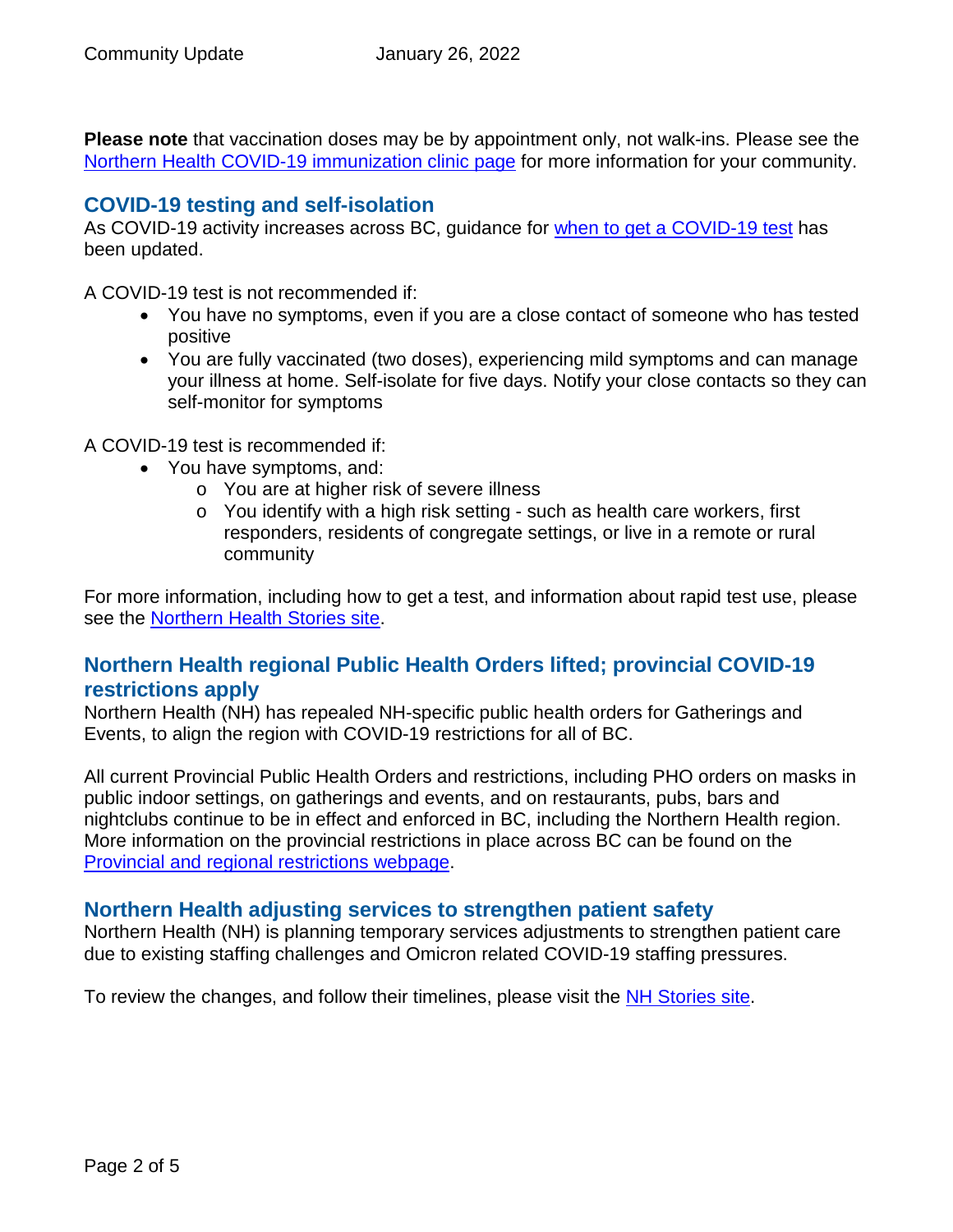**Please note** that vaccination doses may be by appointment only, not walk-ins. Please see the [Northern Health COVID-19 immunization clinic page](https://www.northernhealth.ca/health-topics/covid-19-immunization-clinics) for more information for your community.

## **COVID-19 testing and self-isolation**

As COVID-19 activity increases across BC, guidance for [when to get a COVID-19 test](https://bc.thrive.health/) has been updated.

A COVID-19 test is not recommended if:

- You have no symptoms, even if you are a close contact of someone who has tested positive
- You are fully vaccinated (two doses), experiencing mild symptoms and can manage your illness at home. Self-isolate for five days. Notify your close contacts so they can self-monitor for symptoms

A COVID-19 test is recommended if:

- You have symptoms, and:
	- o You are at higher risk of severe illness
	- o You identify with a high risk setting such as health care workers, first responders, residents of congregate settings, or live in a remote or rural community

For more information, including how to get a test, and information about rapid test use, please see the [Northern Health Stories site.](https://stories.northernhealth.ca/news/when-get-covid-19-test-updated-guidelines)

# **Northern Health regional Public Health Orders lifted; provincial COVID-19 restrictions apply**

Northern Health (NH) has repealed NH-specific public health orders for Gatherings and Events, to align the region with COVID-19 restrictions for all of BC.

All current Provincial Public Health Orders and restrictions, including PHO orders on masks in public indoor settings, on gatherings and events, and on restaurants, pubs, bars and nightclubs continue to be in effect and enforced in BC, including the Northern Health region. More information on the provincial restrictions in place across BC can be found on the [Provincial and regional restrictions webpage.](https://www2.gov.bc.ca/gov/content/covid-19/info/restrictions)

# **Northern Health adjusting services to strengthen patient safety**

Northern Health (NH) is planning temporary services adjustments to strengthen patient care due to existing staffing challenges and Omicron related COVID-19 staffing pressures.

To review the changes, and follow their timelines, please visit the [NH Stories site.](https://stories.northernhealth.ca/news/northern-health-adjusting-services-strengthen-patient-safety)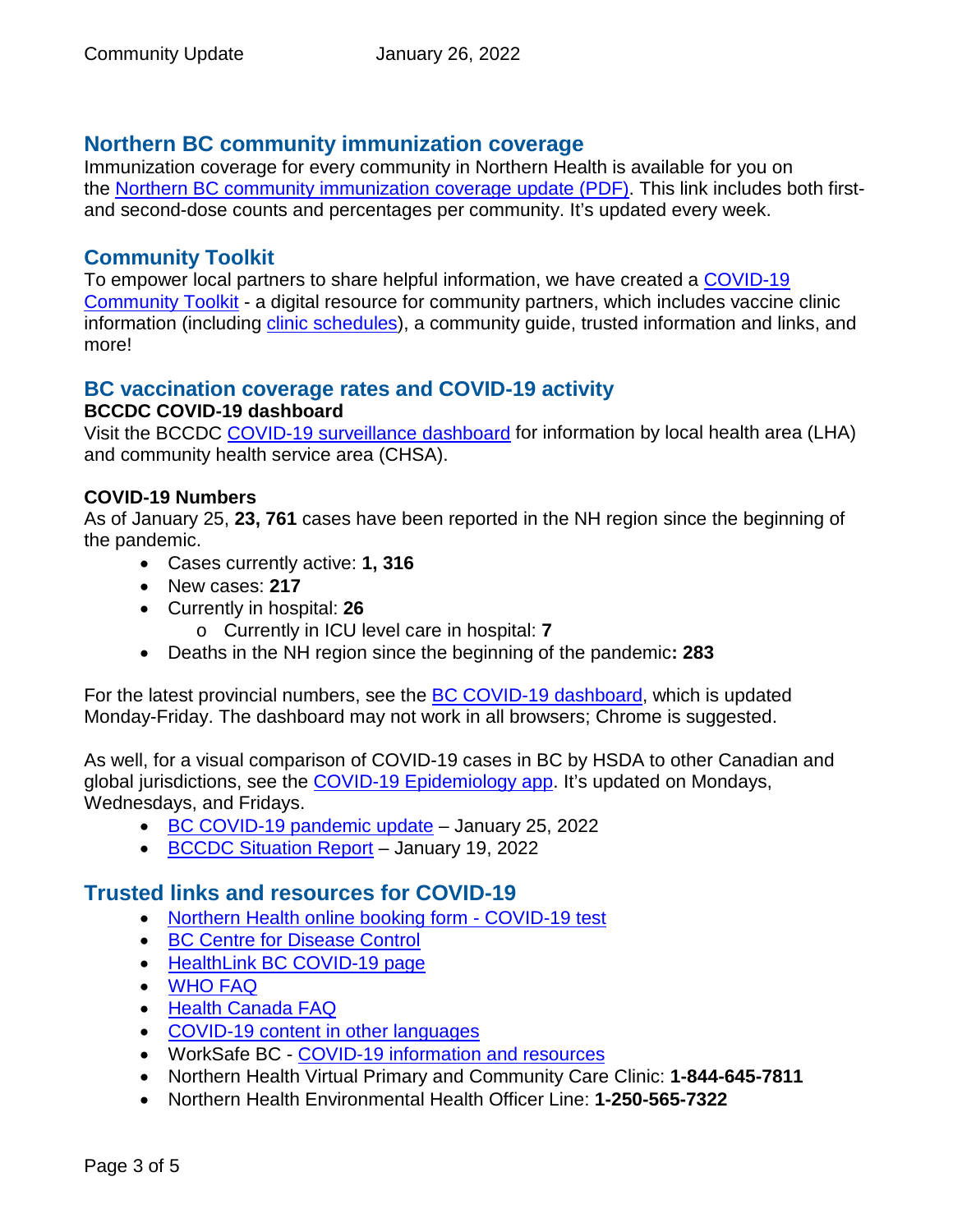# **Northern BC community immunization coverage**

Immunization coverage for every community in Northern Health is available for you on the [Northern BC community immunization coverage update](https://www.northernhealth.ca/sites/northern_health/files/health-information/health-topics/vaccine/documents/northern-bc-immunization-coverage.pdf) (PDF). This link includes both firstand second-dose counts and percentages per community. It's updated every week.

## **Community Toolkit**

To empower local partners to share helpful information, we have created a [COVID-19](https://www.northernhealth.ca/health-topics/covid-19-vaccine-plan/covid-19-community-toolkit)  [Community Toolkit](https://www.northernhealth.ca/health-topics/covid-19-vaccine-plan/covid-19-community-toolkit) - a digital resource for community partners, which includes vaccine clinic information (including [clinic schedules\)](https://www.northernhealth.ca/health-topics/covid-19-immunization-clinics), a community guide, trusted information and links, and more!

#### **BC vaccination coverage rates and COVID-19 activity BCCDC COVID-19 dashboard**

Visit the BCCDC [COVID-19 surveillance dashboard](https://public.tableau.com/app/profile/bccdc/viz/BCCDCCOVID-19SurveillanceDashboard/Introduction) for information by local health area (LHA) and community health service area (CHSA).

#### **COVID-19 Numbers**

As of January 25, **23, 761** cases have been reported in the NH region since the beginning of the pandemic.

- Cases currently active: **1, 316**
- New cases: **217**
- Currently in hospital: **26**
	- o Currently in ICU level care in hospital: **7**
- Deaths in the NH region since the beginning of the pandemic**: 283**

For the latest provincial numbers, see the [BC COVID-19 dashboard,](https://experience.arcgis.com/experience/a6f23959a8b14bfa989e3cda29297ded) which is updated Monday-Friday. The dashboard may not work in all browsers; Chrome is suggested.

As well, for a visual comparison of COVID-19 cases in BC by HSDA to other Canadian and global jurisdictions, see the [COVID-19 Epidemiology app.](https://bccdc.shinyapps.io/covid19_global_epi_app/) It's updated on Mondays, Wednesdays, and Fridays.

- [BC COVID-19 pandemic update](https://news.gov.bc.ca/releases/2022HLTH0026-000107) January 25, 2022
- [BCCDC Situation Report](http://www.bccdc.ca/Health-Info-Site/Documents/COVID_sitrep/Week_1_2022_BC_COVID-19_Situation_Report.pdf) January 19, 2022

# **Trusted links and resources for COVID-19**

- [Northern Health online booking form -](https://northernhealthcovid.secureform.ca/index.php) COVID-19 test
- [BC Centre for Disease Control](http://www.bccdc.ca/health-professionals/clinical-resources/covid-19-care)
- [HealthLink BC COVID-19 page](https://www.healthlinkbc.ca/health-feature/coronavirus-disease-covid-19)
- [WHO FAQ](https://www.who.int/news-room/q-a-detail/q-a-coronaviruses)
- [Health Canada FAQ](https://www.canada.ca/en/public-health/services/diseases/2019-novel-coronavirus-infection/canadas-reponse.html)
- [COVID-19 content in other languages](http://www.bccdc.ca/health-info/diseases-conditions/covid-19/about-covid-19/translated-content)
- WorkSafe BC [COVID-19 information and resources](https://www.worksafebc.com/en/covid-19)
- Northern Health Virtual Primary and Community Care Clinic: **1-844-645-7811**
- Northern Health Environmental Health Officer Line: **1-250-565-7322**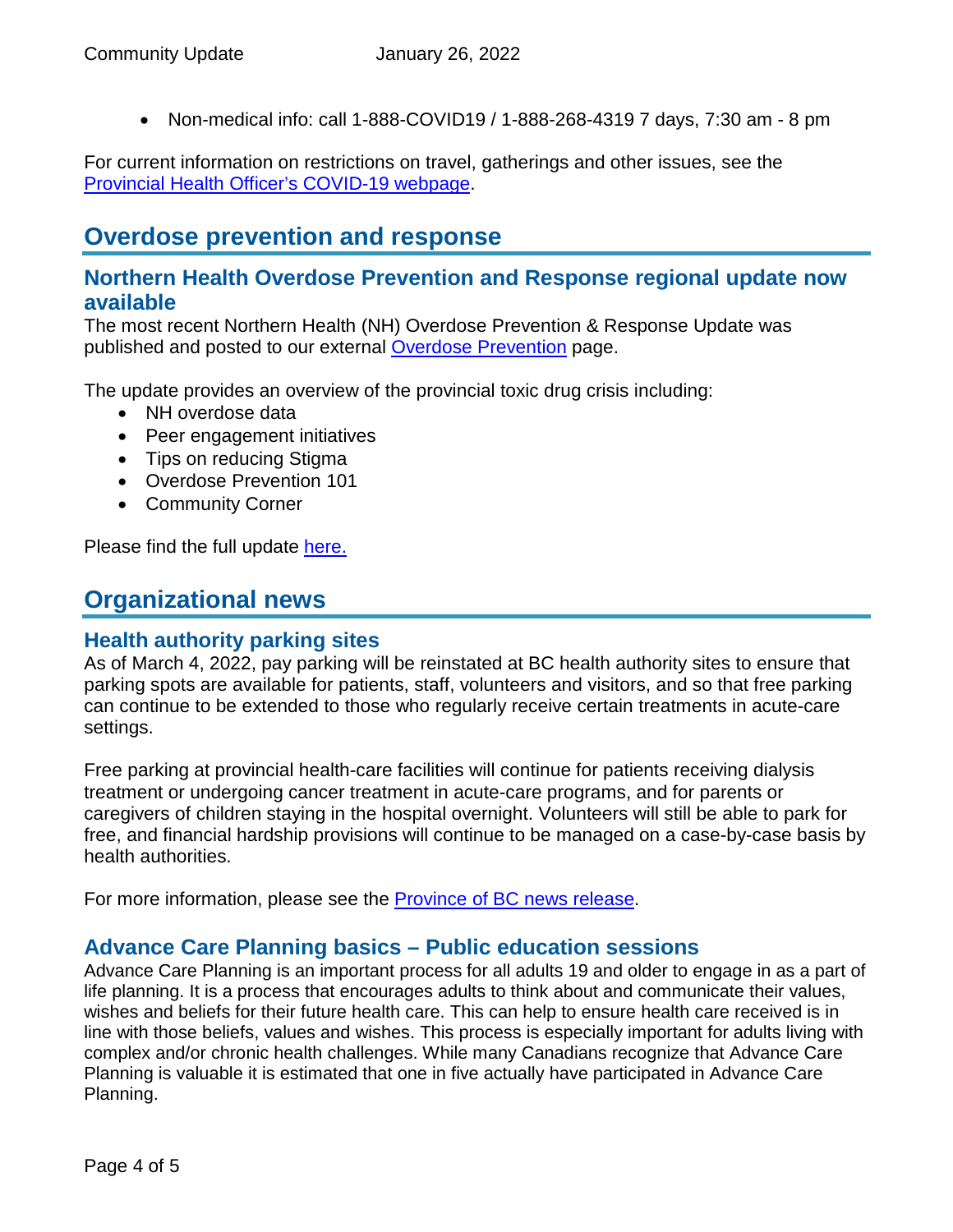<span id="page-3-0"></span>• Non-medical info: call 1-888-COVID19 / 1-888-268-4319 7 days, 7:30 am - 8 pm

For current information on restrictions on travel, gatherings and other issues, see the [Provincial Health Officer's COVID-19 webpage.](https://www2.gov.bc.ca/gov/content/health/about-bc-s-health-care-system/office-of-the-provincial-health-officer/current-health-topics/covid-19-novel-coronavirus)

# **Overdose prevention and response**

## **Northern Health Overdose Prevention and Response regional update now available**

The most recent Northern Health (NH) Overdose Prevention & Response Update was published and posted to our external [Overdose Prevention](https://www.northernhealth.ca/health-topics/overdose-prevention) page.

The update provides an overview of the provincial toxic drug crisis including:

- NH overdose data
- Peer engagement initiatives
- Tips on reducing Stigma
- Overdose Prevention 101
- Community Corner

Please find the full update [here.](ttps://www.northernhealth.ca/sites/northern_health/files/health-information/health-topics/overdose-prevention/documents/nh-overdose-prevention-response-update-jan-2022.pdf)

# **Organizational news**

#### **Health authority parking sites**

As of March 4, 2022, pay parking will be reinstated at BC health authority sites to ensure that parking spots are available for patients, staff, volunteers and visitors, and so that free parking can continue to be extended to those who regularly receive certain treatments in acute-care settings.

Free parking at provincial health-care facilities will continue for patients receiving dialysis treatment or undergoing cancer treatment in acute-care programs, and for parents or caregivers of children staying in the hospital overnight. Volunteers will still be able to park for free, and financial hardship provisions will continue to be managed on a case-by-case basis by health authorities.

For more information, please see the [Province of BC news release.](https://news.gov.bc.ca/releases/2022HLTH0020-000081)

#### **Advance Care Planning basics – Public education sessions**

Advance Care Planning is an important process for all adults 19 and older to engage in as a part of life planning. It is a process that encourages adults to think about and communicate their values, wishes and beliefs for their future health care. This can help to ensure health care received is in line with those beliefs, values and wishes. This process is especially important for adults living with complex and/or chronic health challenges. While many Canadians recognize that Advance Care Planning is valuable it is estimated that one in five actually have participated in Advance Care Planning.